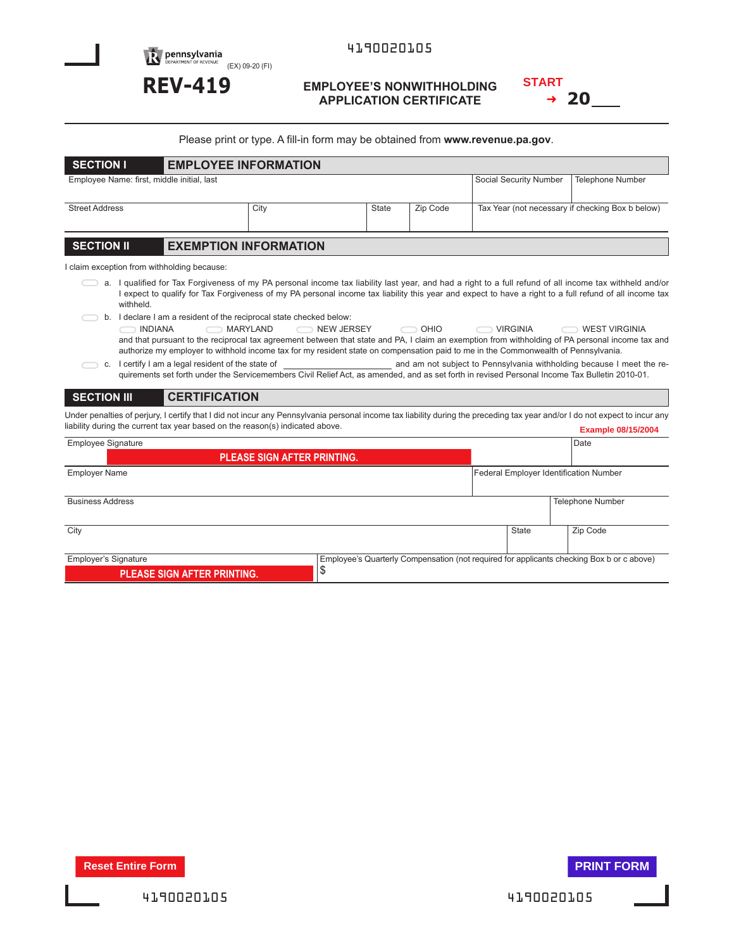**Dennsylvania**<br>
DEPARTMENT OF REVENUE (EX) 09-20 (FI)

## **REV-419 EMPLOYEE'S NONWITHHOLDING APPLICATION CERTIFICATE**

| START |     |
|-------|-----|
|       | -20 |

| Please print or type. A fill-in form may be obtained from www.revenue.pa.gov.                                                                                                                                                                                                                                                                                                                                                                         |                      |                                                                                                                                                                                                                                                                                                                   |              |          |                                                  |  |                         |  |  |
|-------------------------------------------------------------------------------------------------------------------------------------------------------------------------------------------------------------------------------------------------------------------------------------------------------------------------------------------------------------------------------------------------------------------------------------------------------|----------------------|-------------------------------------------------------------------------------------------------------------------------------------------------------------------------------------------------------------------------------------------------------------------------------------------------------------------|--------------|----------|--------------------------------------------------|--|-------------------------|--|--|
| <b>EMPLOYEE INFORMATION</b><br><b>SECTION I</b>                                                                                                                                                                                                                                                                                                                                                                                                       |                      |                                                                                                                                                                                                                                                                                                                   |              |          |                                                  |  |                         |  |  |
| Employee Name: first, middle initial, last                                                                                                                                                                                                                                                                                                                                                                                                            |                      |                                                                                                                                                                                                                                                                                                                   |              |          | Social Security Number                           |  | <b>Telephone Number</b> |  |  |
|                                                                                                                                                                                                                                                                                                                                                                                                                                                       |                      |                                                                                                                                                                                                                                                                                                                   |              |          |                                                  |  |                         |  |  |
| <b>Street Address</b>                                                                                                                                                                                                                                                                                                                                                                                                                                 |                      | City                                                                                                                                                                                                                                                                                                              | <b>State</b> | Zip Code | Tax Year (not necessary if checking Box b below) |  |                         |  |  |
|                                                                                                                                                                                                                                                                                                                                                                                                                                                       |                      |                                                                                                                                                                                                                                                                                                                   |              |          |                                                  |  |                         |  |  |
| <b>EXEMPTION INFORMATION</b><br><b>SECTION II</b>                                                                                                                                                                                                                                                                                                                                                                                                     |                      |                                                                                                                                                                                                                                                                                                                   |              |          |                                                  |  |                         |  |  |
| I claim exception from withholding because:                                                                                                                                                                                                                                                                                                                                                                                                           |                      |                                                                                                                                                                                                                                                                                                                   |              |          |                                                  |  |                         |  |  |
| withheld.                                                                                                                                                                                                                                                                                                                                                                                                                                             |                      | a. I qualified for Tax Forgiveness of my PA personal income tax liability last year, and had a right to a full refund of all income tax withheld and/or<br>I expect to qualify for Tax Forgiveness of my PA personal income tax liability this year and expect to have a right to a full refund of all income tax |              |          |                                                  |  |                         |  |  |
| b. I declare I am a resident of the reciprocal state checked below:<br>MARYLAND<br>NEW JERSEY<br>OHIO<br><b>INDIANA</b><br>VIRGINIA<br><b>WEST VIRGINIA</b><br>and that pursuant to the reciprocal tax agreement between that state and PA, I claim an exemption from withholding of PA personal income tax and<br>authorize my employer to withhold income tax for my resident state on compensation paid to me in the Commonwealth of Pennsylvania. |                      |                                                                                                                                                                                                                                                                                                                   |              |          |                                                  |  |                         |  |  |
| and am not subject to Pennsylvania withholding because I meet the re-<br>c. I certify I am a legal resident of the state of<br>quirements set forth under the Servicemembers Civil Relief Act, as amended, and as set forth in revised Personal Income Tax Bulletin 2010-01.                                                                                                                                                                          |                      |                                                                                                                                                                                                                                                                                                                   |              |          |                                                  |  |                         |  |  |
| <b>SECTION III</b>                                                                                                                                                                                                                                                                                                                                                                                                                                    | <b>CERTIFICATION</b> |                                                                                                                                                                                                                                                                                                                   |              |          |                                                  |  |                         |  |  |
| Under penalties of perjury, I certify that I did not incur any Pennsylvania personal income tax liability during the preceding tax year and/or I do not expect to incur any<br>liability during the current tax year based on the reason(s) indicated above.<br><b>Example 08/15/2004</b>                                                                                                                                                             |                      |                                                                                                                                                                                                                                                                                                                   |              |          |                                                  |  |                         |  |  |
| <b>Employee Signature</b>                                                                                                                                                                                                                                                                                                                                                                                                                             |                      |                                                                                                                                                                                                                                                                                                                   |              |          |                                                  |  | Date                    |  |  |
|                                                                                                                                                                                                                                                                                                                                                                                                                                                       |                      | <b>PLEASE SIGN AFTER PRINTING.</b>                                                                                                                                                                                                                                                                                |              |          |                                                  |  |                         |  |  |
| <b>Employer Name</b>                                                                                                                                                                                                                                                                                                                                                                                                                                  |                      |                                                                                                                                                                                                                                                                                                                   |              |          | Federal Employer Identification Number           |  |                         |  |  |
| <b>Business Address</b>                                                                                                                                                                                                                                                                                                                                                                                                                               |                      |                                                                                                                                                                                                                                                                                                                   |              |          |                                                  |  | <b>Telephone Number</b> |  |  |

| City                               |                                                                                           | State | Zip Code |  |
|------------------------------------|-------------------------------------------------------------------------------------------|-------|----------|--|
|                                    |                                                                                           |       |          |  |
| Employer's Signature               | Employee's Quarterly Compensation (not required for applicants checking Box b or c above) |       |          |  |
| <b>PLEASE SIGN AFTER PRINTING.</b> |                                                                                           |       |          |  |
|                                    |                                                                                           |       |          |  |

**Reset Entire Form PRINT FORM** 

I

I

4190020105 4190020105